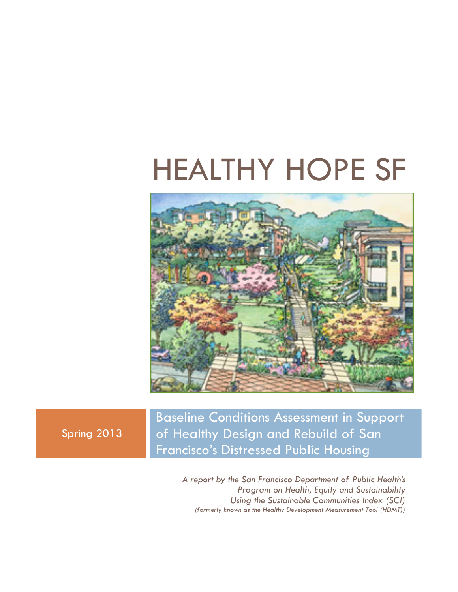# HEALTHY HOPE SF



Spring 2013

Baseline Conditions Assessment in Support of Healthy Design and Rebuild of San Francisco's Distressed Public Housing

> *A report by the San Francisco Department of Public Health's Program on Health, Equity and Sustainability Using the Sustainable Communities Index (SCI) (formerly known as the Healthy Development Measurement Tool (HDMT))*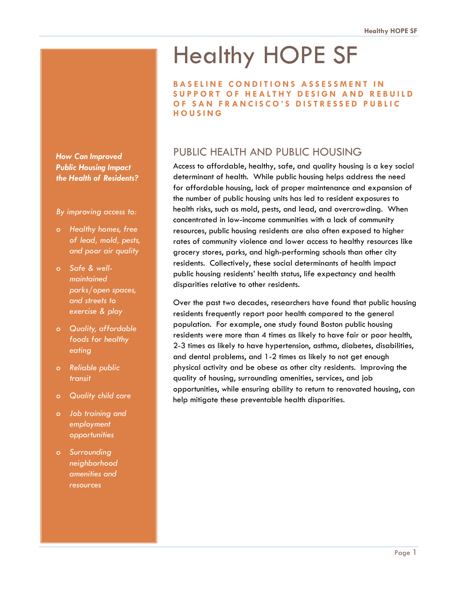## Healthy HOPE SF

**BASELINE CONDITIONS ASSESSMENT IN SUPPORT OF HEALTHY DESIGN AND REBUILD OF SAN FRANCISCO'S DISTRESSED PUBLIC HOUSING** 

## PUBLIC HEALTH AND PUBLIC HOUSING

Access to affordable, healthy, safe, and quality housing is a key social determinant of health. While public housing helps address the need for affordable housing, lack of proper maintenance and expansion of the number of public housing units has led to resident exposures to health risks, such as mold, pests, and lead, and overcrowding. When concentrated in low-income communities with a lack of community resources, public housing residents are also often exposed to higher rates of community violence and lower access to healthy resources like grocery stores, parks, and high-performing schools than other city residents. Collectively, these social determinants of health impact public housing residents' health status, life expectancy and health disparities relative to other residents.

Over the past two decades, researchers have found that public housing residents frequently report poor health compared to the general population. For example, one study found Boston public housing residents were more than 4 times as likely to have fair or poor health, 2-3 times as likely to have hypertension, asthma, diabetes, disabilities, and dental problems, and 1-2 times as likely to not get enough physical activity and be obese as other city residents. Improving the quality of housing, surrounding amenities, services, and job opportunities, while ensuring ability to return to renovated housing, can help mitigate these preventable health disparities.

*How Can Improved Public Housing Impact the Health of Residents?* 

*By improving access to:* 

- *o Healthy homes, free of lead, mold, pests, and poor air quality*
- *o Safe & wellmaintained parks/open spaces, and streets to exercise & play*
- *o Quality, affordable foods for healthy eating*
- *o Reliable public transit*
- *o Quality child care*
- *o Job training and employment opportunities*
- *o Surrounding neighborhood amenities and resources*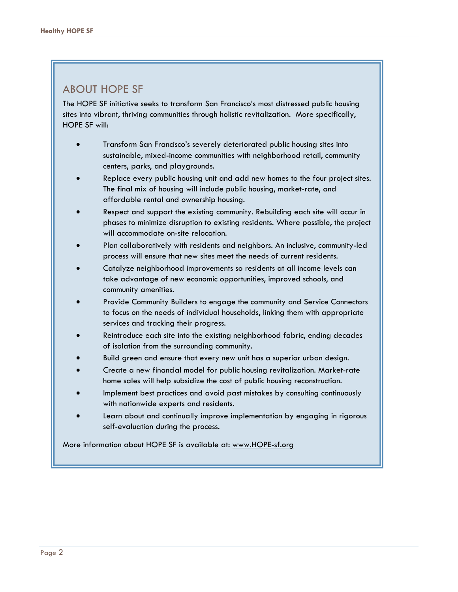## ABOUT HOPE SF

The HOPE SF initiative seeks to transform San Francisco's most distressed public housing sites into vibrant, thriving communities through holistic revitalization. More specifically, HOPE SF will:

- Transform San Francisco's severely deteriorated public housing sites into sustainable, mixed-income communities with neighborhood retail, community centers, parks, and playgrounds.
- Replace every public housing unit and add new homes to the four project sites. The final mix of housing will include public housing, market-rate, and affordable rental and ownership housing.
- Respect and support the existing community. Rebuilding each site will occur in phases to minimize disruption to existing residents. Where possible, the project will accommodate on-site relocation.
- Plan collaboratively with residents and neighbors. An inclusive, community-led process will ensure that new sites meet the needs of current residents.
- Catalyze neighborhood improvements so residents at all income levels can take advantage of new economic opportunities, improved schools, and community amenities.
- Provide Community Builders to engage the community and Service Connectors to focus on the needs of individual households, linking them with appropriate services and tracking their progress.
- Reintroduce each site into the existing neighborhood fabric, ending decades of isolation from the surrounding community.
- Build green and ensure that every new unit has a superior urban design.
- Create a new financial model for public housing revitalization. Market-rate home sales will help subsidize the cost of public housing reconstruction.
- Implement best practices and avoid past mistakes by consulting continuously with nationwide experts and residents.
- Learn about and continually improve implementation by engaging in rigorous self-evaluation during the process.

More information about HOPE SF is available at: www.HOPE-sf.org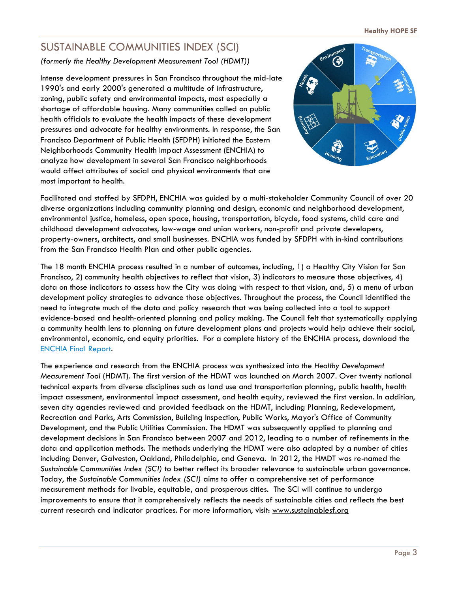## SUSTAINABLE COMMUNITIES INDEX (SCI)

*(formerly the Healthy Development Measurement Tool (HDMT))* 

Intense development pressures in San Francisco throughout the mid-late 1990's and early 2000's generated a multitude of infrastructure, zoning, public safety and environmental impacts, most especially a shortage of affordable housing. Many communities called on public health officials to evaluate the health impacts of these development pressures and advocate for healthy environments. In response, the San Francisco Department of Public Health (SFDPH) initiated the Eastern Neighborhoods Community Health Impact Assessment (ENCHIA) to analyze how development in several San Francisco neighborhoods would affect attributes of social and physical environments that are most important to health.



Facilitated and staffed by SFDPH, ENCHIA was guided by a multi-stakeholder Community Council of over 20 diverse organizations including community planning and design, economic and neighborhood development, environmental justice, homeless, open space, housing, transportation, bicycle, food systems, child care and childhood development advocates, low-wage and union workers, non-profit and private developers, property-owners, architects, and small businesses. ENCHIA was funded by SFDPH with in-kind contributions from the San Francisco Health Plan and other public agencies.

The 18 month ENCHIA process resulted in a number of outcomes, including, 1) a Healthy City Vision for San Francisco, 2) community health objectives to reflect that vision, 3) indicators to measure those objectives, 4) data on those indicators to assess how the City was doing with respect to that vision, and, 5) a menu of urban development policy strategies to advance those objectives. Throughout the process, the Council identified the need to integrate much of the data and policy research that was being collected into a tool to support evidence-based and health-oriented planning and policy making. The Council felt that systematically applying a community health lens to planning on future development plans and projects would help achieve their social, environmental, economic, and equity priorities. For a complete history of the ENCHIA process, download the ENCHIA Final Report.

The experience and research from the ENCHIA process was synthesized into the *Healthy Development Measurement Tool* (HDMT). The first version of the HDMT was launched on March 2007. Over twenty national technical experts from diverse disciplines such as land use and transportation planning, public health, health impact assessment, environmental impact assessment, and health equity, reviewed the first version. In addition, seven city agencies reviewed and provided feedback on the HDMT, including Planning, Redevelopment, Recreation and Parks, Arts Commission, Building Inspection, Public Works, Mayor's Office of Community Development, and the Public Utilities Commission. The HDMT was subsequently applied to planning and development decisions in San Francisco between 2007 and 2012, leading to a number of refinements in the data and application methods. The methods underlying the HDMT were also adapted by a number of cities including Denver, Galveston, Oakland, Philadelphia, and Geneva. In 2012, the HMDT was re-named the *Sustainable Communities Index (SCI)* to better reflect its broader relevance to sustainable urban governance. Today, the *Sustainable Communities Index (SCI)* aims to offer a comprehensive set of performance measurement methods for livable, equitable, and prosperous cities. The SCI will continue to undergo improvements to ensure that it comprehensively reflects the needs of sustainable cities and reflects the best current research and indicator practices. For more information, visit: www.sustainablesf.org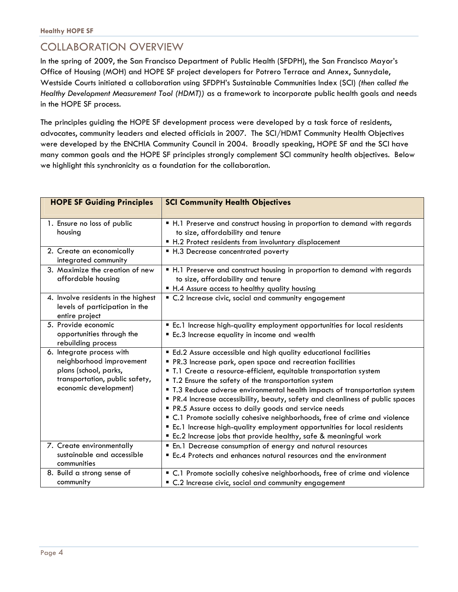## COLLABORATION OVERVIEW

In the spring of 2009, the San Francisco Department of Public Health (SFDPH), the San Francisco Mayor's Office of Housing (MOH) and HOPE SF project developers for Potrero Terrace and Annex, Sunnydale, Westside Courts initiated a collaboration using SFDPH's Sustainable Communities Index (SCI) *(then called the Healthy Development Measurement Tool (HDMT))* as a framework to incorporate public health goals and needs in the HOPE SF process.

The principles guiding the HOPE SF development process were developed by a task force of residents, advocates, community leaders and elected officials in 2007. The SCI/HDMT Community Health Objectives were developed by the ENCHIA Community Council in 2004. Broadly speaking, HOPE SF and the SCI have many common goals and the HOPE SF principles strongly complement SCI community health objectives. Below we highlight this synchronicity as a foundation for the collaboration.

| <b>HOPE SF Guiding Principles</b>                                                                                                         | <b>SCI Community Health Objectives</b>                                                                                                                                                                                                                                                                                                                                                                                                                                                                                                                                                                                                                                                                       |
|-------------------------------------------------------------------------------------------------------------------------------------------|--------------------------------------------------------------------------------------------------------------------------------------------------------------------------------------------------------------------------------------------------------------------------------------------------------------------------------------------------------------------------------------------------------------------------------------------------------------------------------------------------------------------------------------------------------------------------------------------------------------------------------------------------------------------------------------------------------------|
|                                                                                                                                           |                                                                                                                                                                                                                                                                                                                                                                                                                                                                                                                                                                                                                                                                                                              |
| 1. Ensure no loss of public<br>housina                                                                                                    | " H.1 Preserve and construct housing in proportion to demand with regards<br>to size, affordability and tenure<br>■ H.2 Protect residents from involuntary displacement                                                                                                                                                                                                                                                                                                                                                                                                                                                                                                                                      |
| 2. Create an economically<br>integrated community                                                                                         | ■ H.3 Decrease concentrated poverty                                                                                                                                                                                                                                                                                                                                                                                                                                                                                                                                                                                                                                                                          |
| 3. Maximize the creation of new<br>affordable housing                                                                                     | " H.1 Preserve and construct housing in proportion to demand with regards<br>to size, affordability and tenure<br>■ H.4 Assure access to healthy quality housing                                                                                                                                                                                                                                                                                                                                                                                                                                                                                                                                             |
| 4. Involve residents in the highest<br>levels of participation in the<br>entire project                                                   | • C.2 Increase civic, social and community engagement                                                                                                                                                                                                                                                                                                                                                                                                                                                                                                                                                                                                                                                        |
| 5. Provide economic<br>opportunities through the<br>rebuilding process                                                                    | Ec.1 Increase high-quality employment opportunities for local residents<br>Ec.3 Increase equality in income and wealth                                                                                                                                                                                                                                                                                                                                                                                                                                                                                                                                                                                       |
| 6. Integrate process with<br>neighborhood improvement<br>plans (school, parks,<br>transportation, public safety,<br>economic development) | " Ed.2 Assure accessible and high quality educational facilities<br>PR.3 Increase park, open space and recreation facilities<br>" T.1 Create a resource-efficient, equitable transportation system<br>" T.2 Ensure the safety of the transportation system<br>" T.3 Reduce adverse environmental health impacts of transportation system<br>PR.4 Increase accessibility, beauty, safety and cleanliness of public spaces<br>PR.5 Assure access to daily goods and service needs<br>" C.1 Promote socially cohesive neighborhoods, free of crime and violence<br>Ec.1 Increase high-quality employment opportunities for local residents<br>" Ec.2 Increase jobs that provide healthy, safe & meaningful work |
| 7. Create environmentally<br>sustainable and accessible<br>communities                                                                    | " En.1 Decrease consumption of energy and natural resources<br>Ec.4 Protects and enhances natural resources and the environment                                                                                                                                                                                                                                                                                                                                                                                                                                                                                                                                                                              |
| 8. Build a strong sense of<br>community                                                                                                   | " C.1 Promote socially cohesive neighborhoods, free of crime and violence<br>" C.2 Increase civic, social and community engagement                                                                                                                                                                                                                                                                                                                                                                                                                                                                                                                                                                           |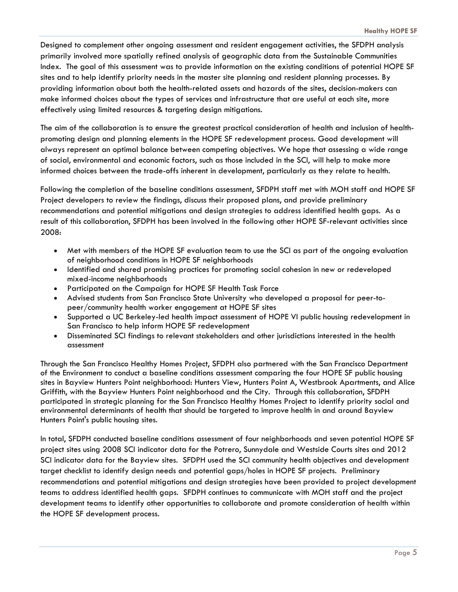Designed to complement other ongoing assessment and resident engagement activities, the SFDPH analysis primarily involved more spatially refined analysis of geographic data from the Sustainable Communities Index. The goal of this assessment was to provide information on the existing conditions of potential HOPE SF sites and to help identify priority needs in the master site planning and resident planning processes. By providing information about both the health-related assets and hazards of the sites, decision-makers can make informed choices about the types of services and infrastructure that are useful at each site, more effectively using limited resources & targeting design mitigations.

The aim of the collaboration is to ensure the greatest practical consideration of health and inclusion of healthpromoting design and planning elements in the HOPE SF redevelopment process. Good development will always represent an optimal balance between competing objectives. We hope that assessing a wide range of social, environmental and economic factors, such as those included in the SCI, will help to make more informed choices between the trade-offs inherent in development, particularly as they relate to health.

Following the completion of the baseline conditions assessment, SFDPH staff met with MOH staff and HOPE SF Project developers to review the findings, discuss their proposed plans, and provide preliminary recommendations and potential mitigations and design strategies to address identified health gaps. As a result of this collaboration, SFDPH has been involved in the following other HOPE SF-relevant activities since 2008:

- Met with members of the HOPE SF evaluation team to use the SCI as part of the ongoing evaluation of neighborhood conditions in HOPE SF neighborhoods
- Identified and shared promising practices for promoting social cohesion in new or redeveloped mixed-income neighborhoods
- Participated on the Campaign for HOPE SF Health Task Force
- Advised students from San Francisco State University who developed a proposal for peer-topeer/community health worker engagement at HOPE SF sites
- Supported a UC Berkeley-led health impact assessment of HOPE VI public housing redevelopment in San Francisco to help inform HOPE SF redevelopment
- Disseminated SCI findings to relevant stakeholders and other jurisdictions interested in the health assessment

Through the San Francisco Healthy Homes Project, SFDPH also partnered with the San Francisco Department of the Environment to conduct a baseline conditions assessment comparing the four HOPE SF public housing sites in Bayview Hunters Point neighborhood: Hunters View, Hunters Point A, Westbrook Apartments, and Alice Griffith, with the Bayview Hunters Point neighborhood and the City. Through this collaboration, SFDPH participated in strategic planning for the San Francisco Healthy Homes Project to identify priority social and environmental determinants of health that should be targeted to improve health in and around Bayview Hunters Point's public housing sites.

In total, SFDPH conducted baseline conditions assessment of four neighborhoods and seven potential HOPE SF project sites using 2008 SCI indicator data for the Potrero, Sunnydale and Westside Courts sites and 2012 SCI indicator data for the Bayview sites. SFDPH used the SCI community health objectives and development target checklist to identify design needs and potential gaps/holes in HOPE SF projects. Preliminary recommendations and potential mitigations and design strategies have been provided to project development teams to address identified health gaps. SFDPH continues to communicate with MOH staff and the project development teams to identify other opportunities to collaborate and promote consideration of health within the HOPE SF development process.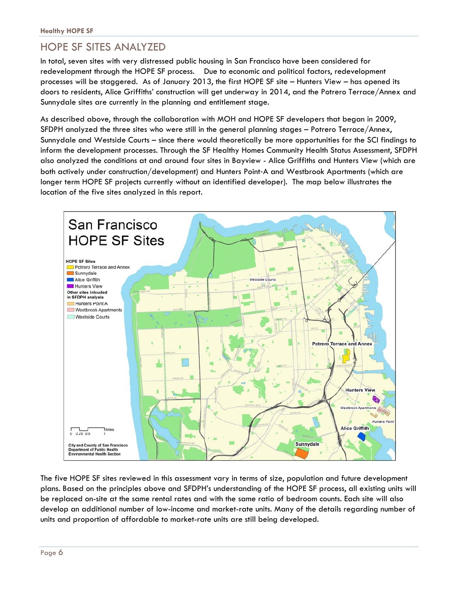## HOPE SF SITES ANALYZED

In total, seven sites with very distressed public housing in San Francisco have been considered for redevelopment through the HOPE SF process. Due to economic and political factors, redevelopment processes will be staggered. As of January 2013, the first HOPE SF site – Hunters View – has opened its doors to residents, Alice Griffiths' construction will get underway in 2014, and the Potrero Terrace/Annex and Sunnydale sites are currently in the planning and entitlement stage.

As described above, through the collaboration with MOH and HOPE SF developers that began in 2009, SFDPH analyzed the three sites who were still in the general planning stages – Potrero Terrace/Annex, Sunnydale and Westside Courts – since there would theoretically be more opportunities for the SCI findings to inform the development processes. Through the SF Healthy Homes Community Health Status Assessment, SFDPH also analyzed the conditions at and around four sites in Bayview - Alice Griffiths and Hunters View (which are both actively under construction/development) and Hunters Point‐A and Westbrook Apartments (which are longer term HOPE SF projects currently without an identified developer). The map below illustrates the location of the five sites analyzed in this report.



The five HOPE SF sites reviewed in this assessment vary in terms of size, population and future development plans. Based on the principles above and SFDPH's understanding of the HOPE SF process, all existing units will be replaced on-site at the same rental rates and with the same ratio of bedroom counts. Each site will also develop an additional number of low-income and market-rate units. Many of the details regarding number of units and proportion of affordable to market-rate units are still being developed.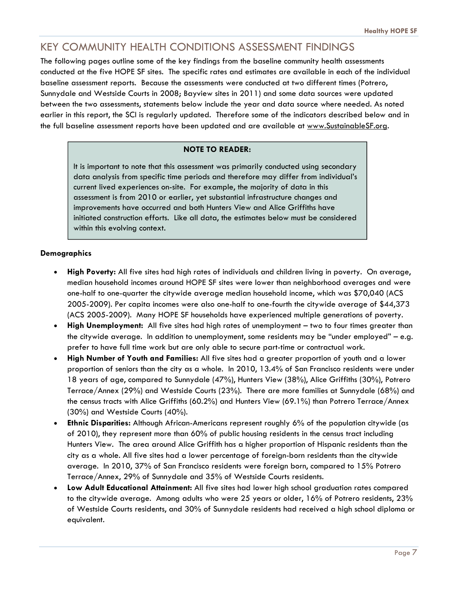## KEY COMMUNITY HEALTH CONDITIONS ASSESSMENT FINDINGS

The following pages outline some of the key findings from the baseline community health assessments conducted at the five HOPE SF sites. The specific rates and estimates are available in each of the individual baseline assessment reports. Because the assessments were conducted at two different times (Potrero, Sunnydale and Westside Courts in 2008; Bayview sites in 2011) and some data sources were updated between the two assessments, statements below include the year and data source where needed. As noted earlier in this report, the SCI is regularly updated. Therefore some of the indicators described below and in the full baseline assessment reports have been updated and are available at www.SustainableSF.org.

#### **NOTE TO READER:**

It is important to note that this assessment was primarily conducted using secondary data analysis from specific time periods and therefore may differ from individual's current lived experiences on-site. For example, the majority of data in this assessment is from 2010 or earlier, yet substantial infrastructure changes and improvements have occurred and both Hunters View and Alice Griffiths have initiated construction efforts. Like all data, the estimates below must be considered within this evolving context.

#### **Demographics**

- **High Poverty:** All five sites had high rates of individuals and children living in poverty. On average, median household incomes around HOPE SF sites were lower than neighborhood averages and were one-half to one-quarter the citywide average median household income, which was \$70,040 (ACS 2005-2009). Per capita incomes were also one-half to one-fourth the citywide average of \$44,373 (ACS 2005-2009). Many HOPE SF households have experienced multiple generations of poverty.
- **High Unemployment:** All five sites had high rates of unemployment two to four times greater than the citywide average. In addition to unemployment, some residents may be "under employed" – e.g. prefer to have full time work but are only able to secure part-time or contractual work.
- **High Number of Youth and Families:** All five sites had a greater proportion of youth and a lower proportion of seniors than the city as a whole. In 2010, 13.4% of San Francisco residents were under 18 years of age, compared to Sunnydale (47%), Hunters View (38%), Alice Griffiths (30%), Potrero Terrace/Annex (29%) and Westside Courts (23%). There are more families at Sunnydale (68%) and the census tracts with Alice Griffiths (60.2%) and Hunters View (69.1%) than Potrero Terrace/Annex (30%) and Westside Courts (40%).
- **Ethnic Disparities:** Although African-Americans represent roughly 6% of the population citywide (as of 2010), they represent more than 60% of public housing residents in the census tract including Hunters View. The area around Alice Griffith has a higher proportion of Hispanic residents than the city as a whole. All five sites had a lower percentage of foreign-born residents than the citywide average. In 2010, 37% of San Francisco residents were foreign born, compared to 15% Potrero Terrace/Annex, 29% of Sunnydale and 35% of Westside Courts residents.
- **Low Adult Educational Attainment:** All five sites had lower high school graduation rates compared to the citywide average. Among adults who were 25 years or older, 16% of Potrero residents, 23% of Westside Courts residents, and 30% of Sunnydale residents had received a high school diploma or equivalent.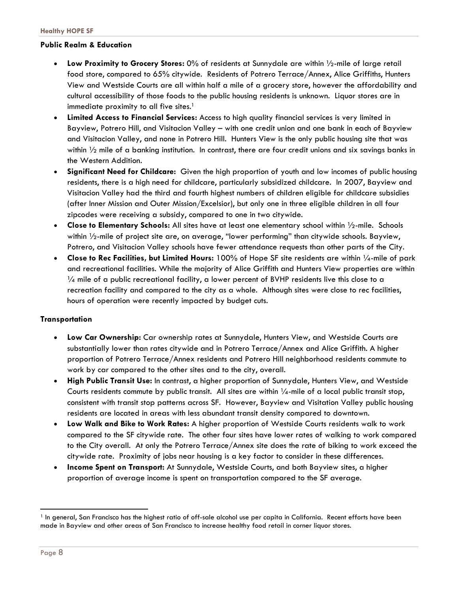#### **Public Realm & Education**

- **Low Proximity to Grocery Stores:** 0% of residents at Sunnydale are within ½-mile of large retail food store, compared to 65% citywide. Residents of Potrero Terrace/Annex, Alice Griffiths, Hunters View and Westside Courts are all within half a mile of a grocery store, however the affordability and cultural accessibility of those foods to the public housing residents is unknown. Liquor stores are in immediate proximity to all five sites.<sup>1</sup>
- **Limited Access to Financial Services:** Access to high quality financial services is very limited in Bayview, Potrero Hill, and Visitacion Valley – with one credit union and one bank in each of Bayview and Visitacion Valley, and none in Potrero Hill. Hunters View is the only public housing site that was within  $\frac{1}{2}$  mile of a banking institution. In contrast, there are four credit unions and six savings banks in the Western Addition.
- **Significant Need for Childcare:** Given the high proportion of youth and low incomes of public housing residents, there is a high need for childcare, particularly subsidized childcare. In 2007, Bayview and Visitacion Valley had the third and fourth highest numbers of children eligible for childcare subsidies (after Inner Mission and Outer Mission/Excelsior), but only one in three eligible children in all four zipcodes were receiving a subsidy, compared to one in two citywide.
- **Close to Elementary Schools:** All sites have at least one elementary school within ½-mile. Schools within ½-mile of project site are, on average, "lower performing" than citywide schools. Bayview, Potrero, and Visitacion Valley schools have fewer attendance requests than other parts of the City.
- **Close to Rec Facilities, but Limited Hours:** 100% of Hope SF site residents are within ¼-mile of park and recreational facilities. While the majority of Alice Griffith and Hunters View properties are within  $\frac{1}{4}$  mile of a public recreational facility, a lower percent of BVHP residents live this close to a recreation facility and compared to the city as a whole. Although sites were close to rec facilities, hours of operation were recently impacted by budget cuts.

#### **Transportation**

- **Low Car Ownership:** Car ownership rates at Sunnydale, Hunters View, and Westside Courts are substantially lower than rates citywide and in Potrero Terrace/Annex and Alice Griffith. A higher proportion of Potrero Terrace/Annex residents and Potrero Hill neighborhood residents commute to work by car compared to the other sites and to the city, overall.
- **High Public Transit Use:** In contrast, a higher proportion of Sunnydale, Hunters View, and Westside Courts residents commute by public transit. All sites are within  $\frac{1}{4}$ -mile of a local public transit stop, consistent with transit stop patterns across SF. However, Bayview and Visitation Valley public housing residents are located in areas with less abundant transit density compared to downtown.
- **Low Walk and Bike to Work Rates:** A higher proportion of Westside Courts residents walk to work compared to the SF citywide rate. The other four sites have lower rates of walking to work compared to the City overall. At only the Potrero Terrace/Annex site does the rate of biking to work exceed the citywide rate. Proximity of jobs near housing is a key factor to consider in these differences.
- **Income Spent on Transport:** At Sunnydale, Westside Courts, and both Bayview sites, a higher proportion of average income is spent on transportation compared to the SF average.

l

<sup>&</sup>lt;sup>1</sup> In general, San Francisco has the highest ratio of off-sale alcohol use per capita in California. Recent efforts have been made in Bayview and other areas of San Francisco to increase healthy food retail in corner liquor stores.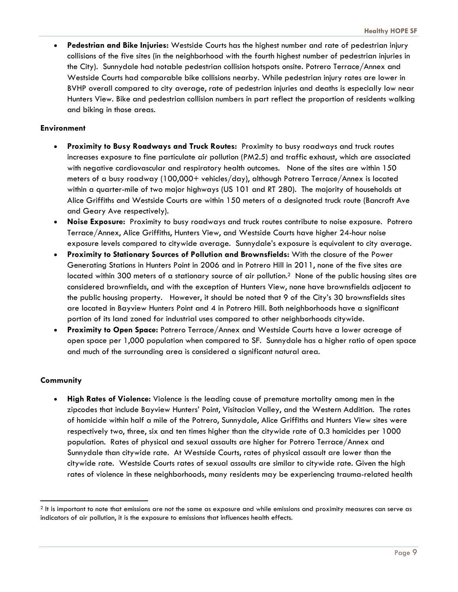**Pedestrian and Bike Injuries:** Westside Courts has the highest number and rate of pedestrian injury collisions of the five sites (in the neighborhood with the fourth highest number of pedestrian injuries in the City). Sunnydale had notable pedestrian collision hotspots onsite. Potrero Terrace/Annex and Westside Courts had comparable bike collisions nearby. While pedestrian injury rates are lower in BVHP overall compared to city average, rate of pedestrian injuries and deaths is especially low near Hunters View. Bike and pedestrian collision numbers in part reflect the proportion of residents walking and biking in those areas.

#### **Environment**

- **Proximity to Busy Roadways and Truck Routes:** Proximity to busy roadways and truck routes increases exposure to fine particulate air pollution (PM2.5) and traffic exhaust, which are associated with negative cardiovascular and respiratory health outcomes. None of the sites are within 150 meters of a busy roadway (100,000+ vehicles/day), although Potrero Terrace/Annex is located within a quarter-mile of two major highways (US 101 and RT 280). The majority of households at Alice Griffiths and Westside Courts are within 150 meters of a designated truck route (Bancroft Ave and Geary Ave respectively).
- **Noise Exposure:** Proximity to busy roadways and truck routes contribute to noise exposure. Potrero Terrace/Annex, Alice Griffiths, Hunters View, and Westside Courts have higher 24-hour noise exposure levels compared to citywide average. Sunnydale's exposure is equivalent to city average.
- **Proximity to Stationary Sources of Pollution and Brownsfields:** With the closure of the Power Generating Stations in Hunters Point in 2006 and in Potrero Hill in 2011, none of the five sites are located within 300 meters of a stationary source of air pollution.<sup>2</sup> None of the public housing sites are considered brownfields, and with the exception of Hunters View, none have brownsfields adjacent to the public housing property. However, it should be noted that 9 of the City's 30 brownsfields sites are located in Bayview Hunters Point and 4 in Potrero Hill. Both neighborhoods have a significant portion of its land zoned for industrial uses compared to other neighborhoods citywide.
- **Proximity to Open Space:** Potrero Terrace/Annex and Westside Courts have a lower acreage of open space per 1,000 population when compared to SF. Sunnydale has a higher ratio of open space and much of the surrounding area is considered a significant natural area.

#### **Community**

 **High Rates of Violence:** Violence is the leading cause of premature mortality among men in the zipcodes that include Bayview Hunters' Point, Visitacion Valley, and the Western Addition. The rates of homicide within half a mile of the Potrero, Sunnydale, Alice Griffiths and Hunters View sites were respectively two, three, six and ten times higher than the citywide rate of 0.3 homicides per 1000 population. Rates of physical and sexual assaults are higher for Potrero Terrace/Annex and Sunnydale than citywide rate. At Westside Courts, rates of physical assault are lower than the citywide rate. Westside Courts rates of sexual assaults are similar to citywide rate. Given the high rates of violence in these neighborhoods, many residents may be experiencing trauma-related health

 $2$  It is important to note that emissions are not the same as exposure and while emissions and proximity measures can serve as indicators of air pollution, it is the exposure to emissions that influences health effects.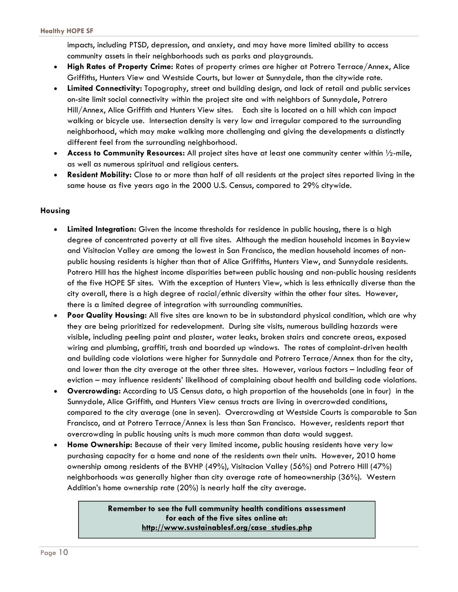impacts, including PTSD, depression, and anxiety, and may have more limited ability to access community assets in their neighborhoods such as parks and playgrounds.

- **High Rates of Property Crime:** Rates of property crimes are higher at Potrero Terrace/Annex, Alice Griffiths, Hunters View and Westside Courts, but lower at Sunnydale, than the citywide rate.
- **Limited Connectivity:** Topography, street and building design, and lack of retail and public services on-site limit social connectivity within the project site and with neighbors of Sunnydale, Potrero Hill/Annex, Alice Griffith and Hunters View sites. Each site is located on a hill which can impact walking or bicycle use. Intersection density is very low and irregular compared to the surrounding neighborhood, which may make walking more challenging and giving the developments a distinctly different feel from the surrounding neighborhood.
- **Access to Community Resources:** All project sites have at least one community center within  $\frac{1}{2}$ -mile, as well as numerous spiritual and religious centers.
- **Resident Mobility:** Close to or more than half of all residents at the project sites reported living in the same house as five years ago in the 2000 U.S. Census, compared to 29% citywide.

#### **Housing**

- **Limited Integration:** Given the income thresholds for residence in public housing, there is a high degree of concentrated poverty at all five sites. Although the median household incomes in Bayview and Visitacion Valley are among the lowest in San Francisco, the median household incomes of nonpublic housing residents is higher than that of Alice Griffiths, Hunters View, and Sunnydale residents. Potrero Hill has the highest income disparities between public housing and non-public housing residents of the five HOPE SF sites. With the exception of Hunters View, which is less ethnically diverse than the city overall, there is a high degree of racial/ethnic diversity within the other four sites. However, there is a limited degree of integration with surrounding communities.
- **Poor Quality Housing:** All five sites are known to be in substandard physical condition, which are why they are being prioritized for redevelopment. During site visits, numerous building hazards were visible, including peeling paint and plaster, water leaks, broken stairs and concrete areas, exposed wiring and plumbing, graffiti, trash and boarded up windows. The rates of complaint-driven health and building code violations were higher for Sunnydale and Potrero Terrace/Annex than for the city, and lower than the city average at the other three sites. However, various factors – including fear of eviction – may influence residents' likelihood of complaining about health and building code violations.
- **Overcrowding:** According to US Census data, a high proportion of the households (one in four) in the Sunnydale, Alice Griffith, and Hunters View census tracts are living in overcrowded conditions, compared to the city average (one in seven). Overcrowding at Westside Courts is comparable to San Francisco, and at Potrero Terrace/Annex is less than San Francisco. However, residents report that overcrowding in public housing units is much more common than data would suggest.
- **Home Ownership:** Because of their very limited income, public housing residents have very low purchasing capacity for a home and none of the residents own their units. However, 2010 home ownership among residents of the BVHP (49%), Visitacion Valley (56%) and Potrero Hill (47%) neighborhoods was generally higher than city average rate of homeownership (36%). Western Addition's home ownership rate (20%) is nearly half the city average.

#### **Remember to see the full community health conditions assessment for each of the five sites online at: http://www.sustainablesf.org/case\_studies.php**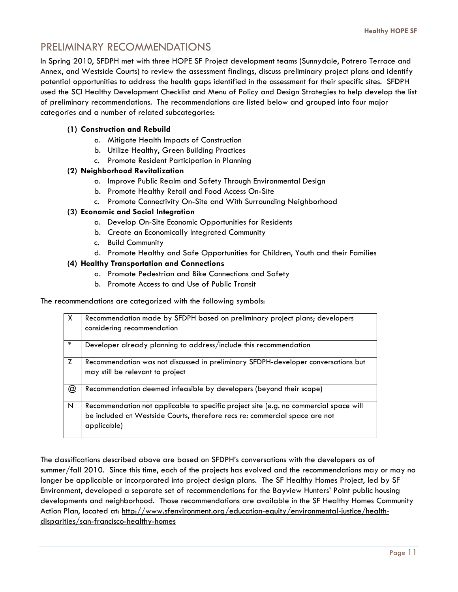## PRELIMINARY RECOMMENDATIONS

In Spring 2010, SFDPH met with three HOPE SF Project development teams (Sunnydale, Potrero Terrace and Annex, and Westside Courts) to review the assessment findings, discuss preliminary project plans and identify potential opportunities to address the health gaps identified in the assessment for their specific sites. SFDPH used the SCI Healthy Development Checklist and Menu of Policy and Design Strategies to help develop the list of preliminary recommendations. The recommendations are listed below and grouped into four major categories and a number of related subcategories:

#### **(1) Construction and Rebuild**

- a. Mitigate Health Impacts of Construction
- b. Utilize Healthy, Green Building Practices
- c. Promote Resident Participation in Planning

#### **(2) Neighborhood Revitalization**

- a. Improve Public Realm and Safety Through Environmental Design
- b. Promote Healthy Retail and Food Access On-Site
- c. Promote Connectivity On-Site and With Surrounding Neighborhood

#### **(3) Economic and Social Integration**

- a. Develop On-Site Economic Opportunities for Residents
- b. Create an Economically Integrated Community
- c. Build Community
- d. Promote Healthy and Safe Opportunities for Children, Youth and their Families

#### **(4) Healthy Transportation and Connections**

- a. Promote Pedestrian and Bike Connections and Safety
- b. Promote Access to and Use of Public Transit

The recommendations are categorized with the following symbols:

| $\mathsf{X}$   | Recommendation made by SFDPH based on preliminary project plans; developers<br>considering recommendation                                                                           |
|----------------|-------------------------------------------------------------------------------------------------------------------------------------------------------------------------------------|
| $\ast$         | Developer already planning to address/include this recommendation                                                                                                                   |
| Z              | Recommendation was not discussed in preliminary SFDPH-developer conversations but<br>may still be relevant to project                                                               |
| $^{\circledR}$ | Recommendation deemed infeasible by developers (beyond their scope)                                                                                                                 |
| N              | Recommendation not applicable to specific project site (e.g. no commercial space will<br>be included at Westside Courts, therefore recs re: commercial space are not<br>applicable) |

The classifications described above are based on SFDPH's conversations with the developers as of summer/fall 2010. Since this time, each of the projects has evolved and the recommendations may or may no longer be applicable or incorporated into project design plans. The SF Healthy Homes Project, led by SF Environment, developed a separate set of recommendations for the Bayview Hunters' Point public housing developments and neighborhood. Those recommendations are available in the SF Healthy Homes Community Action Plan, located at: http://www.sfenvironment.org/education-equity/environmental-justice/healthdisparities/san-francisco-healthy-homes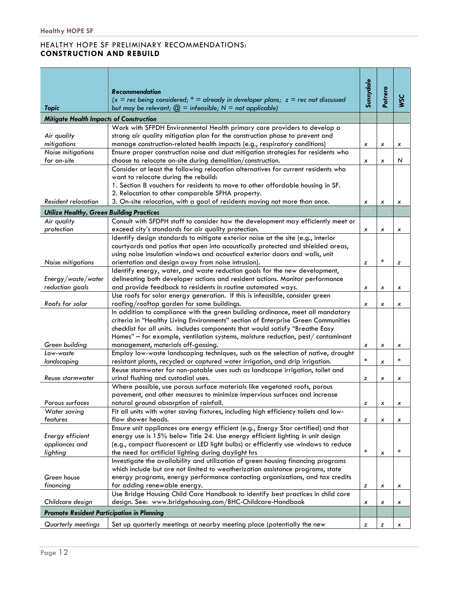#### HEALTHY HOPE SF PRELIMINARY RECOMMENDATIONS: **CONSTRUCTION AND REBUILD**

|                                                  | <b>Recommendation</b>                                                                                                            | Sunnydale |         |            |
|--------------------------------------------------|----------------------------------------------------------------------------------------------------------------------------------|-----------|---------|------------|
|                                                  | $(x = rec$ being considered; $* =$ already in developer plans; $z = rec$ not discussed                                           |           | Potrero | <b>WSC</b> |
| <b>Topic</b>                                     | but may be relevant; $\mathcal{Q}$ = infeasible; N = not applicable)                                                             |           |         |            |
| <b>Mitigate Health Impacts of Construction</b>   |                                                                                                                                  |           |         |            |
|                                                  | Work with SFPDH Environmental Health primary care providers to develop a                                                         |           |         |            |
| Air quality                                      | strong air quality mitigation plan for the construction phase to prevent and                                                     |           |         |            |
| mitigations                                      | manage construction-related health impacts (e.g., respiratory conditions)                                                        | x         | x       | x          |
| Noise mitigations                                | Ensure proper construction noise and dust mitigation strategies for residents who                                                |           |         |            |
| for on-site                                      | choose to relocate on-site during demolition/construction.                                                                       | x         | x       | N          |
|                                                  | Consider at least the following relocation alternatives for current residents who                                                |           |         |            |
|                                                  | want to relocate during the rebuild:                                                                                             |           |         |            |
|                                                  | 1. Section 8 vouchers for residents to move to other affordable housing in SF.                                                   |           |         |            |
|                                                  | 2. Relocation to other comparable SFHA property.                                                                                 |           |         |            |
| Resident relocation                              | 3. On-site relocation, with a goal of residents moving not more than once.                                                       | x         | x       | x          |
| <b>Utilize Healthy, Green Building Practices</b> |                                                                                                                                  |           |         |            |
| Air quality                                      | Consult with SFDPH staff to consider how the development may efficiently meet or                                                 |           |         |            |
| protection                                       | exceed city's standards for air quality protection.                                                                              | x         | x       | x          |
|                                                  | Identify design standards to mitigate exterior noise at the site (e.g., interior                                                 |           |         |            |
|                                                  | courtyards and patios that open into acoustically protected and shielded areas,                                                  |           |         |            |
| Noise mitigations                                | using noise insulation windows and acoustical exterior doors and walls, unit                                                     |           | $\star$ |            |
|                                                  | orientation and design away from noise intrusion).<br>Identify energy, water, and waste reduction goals for the new development, | z         |         | z          |
| Energy/waste/water                               | delineating both developer actions and resident actions. Monitor performance                                                     |           |         |            |
| reduction goals                                  | and provide feedback to residents in routine automated ways.                                                                     | x         | x       | x          |
|                                                  | Use roofs for solar energy generation. If this is infeasible, consider green                                                     |           |         |            |
| Roofs for solar                                  | roofing/rooftop garden for some buildings.                                                                                       | x         | x       | x          |
|                                                  | In addition to compliance with the green building ordinance, meet all mandatory                                                  |           |         |            |
|                                                  | criteria in "Healthy Living Environments" section of Enterprise Green Communities                                                |           |         |            |
|                                                  | checklist for all units. Includes components that would satisfy "Breathe Easy                                                    |           |         |            |
|                                                  | Homes" $-$ for example, ventilation systems, moisture reduction, pest/ contaminant                                               |           |         |            |
| Green building                                   | management, materials off-gassing.                                                                                               | x         | x       | x          |
| Low-waste                                        | Employ low-waste landscaping techniques, such as the selection of native, drought                                                |           |         |            |
| landscaping                                      | resistant plants, recycled or captured water irrigation, and drip irrigation.                                                    | $\ast$    | x       | $\ast$     |
|                                                  | Reuse stormwater for non-potable uses such as landscape irrigation, toilet and                                                   |           |         |            |
| Reuse stormwater                                 | urinal flushing and custodial uses.                                                                                              | z         | x       | x          |
|                                                  | Where possible, use porous surface materials like vegetated roofs, porous                                                        |           |         |            |
|                                                  | pavement, and other measures to minimize impervious surfaces and increase                                                        |           |         |            |
| Porous surfaces<br>Water saving                  | natural ground absorption of rainfall.<br>Fit all units with water saving fixtures, including high efficiency toilets and low-   | z         | x       | x          |
| features                                         | flow shower heads.                                                                                                               | z         | x       |            |
|                                                  | Ensure unit appliances are energy efficient (e.g., Energy Star certified) and that                                               |           |         | x          |
| Energy efficient                                 | energy use is 15% below Title 24. Use energy efficient lighting in unit design                                                   |           |         |            |
| appliances and                                   | (e.g., compact fluorescent or LED light bulbs) or efficiently use windows to reduce                                              |           |         |            |
| lighting                                         | the need for artificial lighting during daylight hrs                                                                             | $\ast$    | x       | $\ast$     |
|                                                  | Investigate the availability and utilization of green housing financing programs                                                 |           |         |            |
|                                                  | which include but are not limited to weatherization assistance programs, state                                                   |           |         |            |
| Green house                                      | energy programs, energy performance contacting organizations, and tax credits                                                    |           |         |            |
| financing                                        | for adding renewable energy.                                                                                                     | z         | x       | x          |
|                                                  | Use Bridge Housing Child Care Handbook to identify best practices in child care                                                  |           |         |            |
| Childcare design                                 | design. See: www.bridgehousing.com/BHC-Childcare-Handbook                                                                        | x         | x       | x          |
| Promote Resident Participation in Planning       |                                                                                                                                  |           |         |            |
| Quarterly meetings                               | Set up quarterly meetings at nearby meeting place (potentially the new                                                           | z         | z       | x          |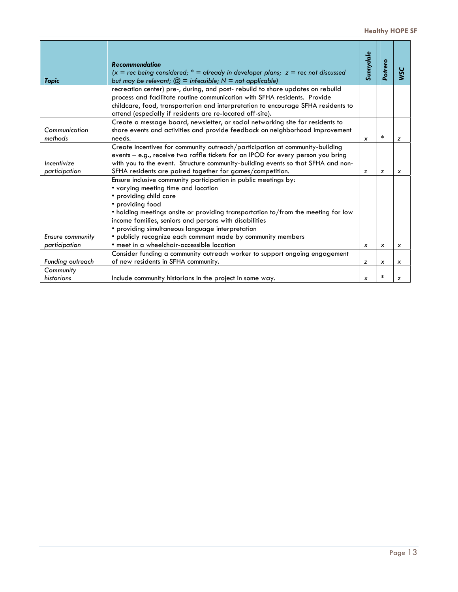|                         | <b>Recommendation</b><br>$(x =$ rec being considered; * = already in developer plans; $z =$ rec not discussed                                         | Sunnydale    | Potrero                   | SC               |
|-------------------------|-------------------------------------------------------------------------------------------------------------------------------------------------------|--------------|---------------------------|------------------|
| <b>Topic</b>            | but may be relevant; $\mathcal{Q}$ = infeasible; N = not applicable)<br>recreation center) pre-, during, and post-rebuild to share updates on rebuild |              |                           |                  |
|                         | process and facilitate routine communication with SFHA residents. Provide                                                                             |              |                           |                  |
|                         | childcare, food, transportation and interpretation to encourage SFHA residents to                                                                     |              |                           |                  |
|                         | attend (especially if residents are re-located off-site).                                                                                             |              |                           |                  |
|                         | Create a message board, newsletter, or social networking site for residents to                                                                        |              |                           |                  |
| Communication           | share events and activities and provide feedback on neighborhood improvement                                                                          |              |                           |                  |
| methods                 | needs.                                                                                                                                                | x            | $\ast$                    | z                |
|                         | Create incentives for community outreach/participation at community-building                                                                          |              |                           |                  |
|                         | events - e.g., receive two raffle tickets for an IPOD for every person you bring                                                                      |              |                           |                  |
| Incentivize             | with you to the event. Structure community-building events so that SFHA and non-                                                                      |              |                           |                  |
| participation           | SFHA residents are paired together for games/competition.                                                                                             | z            | z                         | $\boldsymbol{x}$ |
|                         | Ensure inclusive community participation in public meetings by:                                                                                       |              |                           |                  |
|                         | • varying meeting time and location                                                                                                                   |              |                           |                  |
|                         | • providing child care                                                                                                                                |              |                           |                  |
|                         | • providing food                                                                                                                                      |              |                           |                  |
|                         | • holding meetings onsite or providing transportation to/from the meeting for low                                                                     |              |                           |                  |
|                         | income families, seniors and persons with disabilities                                                                                                |              |                           |                  |
|                         | • providing simultaneous language interpretation                                                                                                      |              |                           |                  |
| <b>Ensure community</b> | · publicly recognize each comment made by community members                                                                                           |              |                           |                  |
| participation           | • meet in a wheelchair-accessible location                                                                                                            | x            | $\boldsymbol{\mathsf{x}}$ | x                |
|                         | Consider funding a community outreach worker to support ongoing engagement                                                                            |              |                           |                  |
| Funding outreach        | of new residents in SFHA community.                                                                                                                   | z            | x                         | X                |
| Community               |                                                                                                                                                       |              |                           |                  |
| historians              | Include community historians in the project in some way.                                                                                              | $\pmb{\chi}$ | $\ast$                    | z                |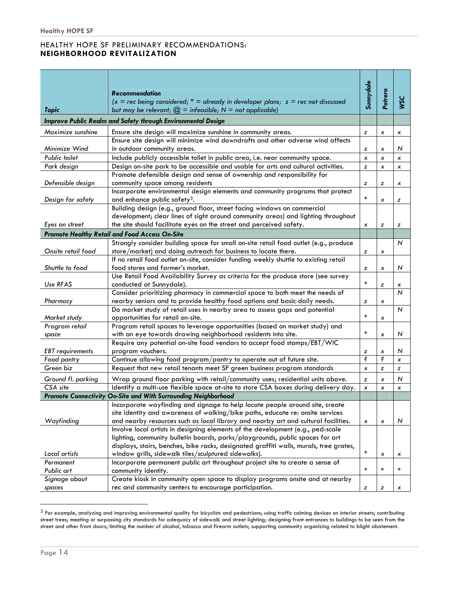#### HEALTHY HOPE SF PRELIMINARY RECOMMENDATIONS: **NEIGHBORHOOD REVITALIZATION**

|                         |                                                                                                                                                                | Sunnydale |                |                     |
|-------------------------|----------------------------------------------------------------------------------------------------------------------------------------------------------------|-----------|----------------|---------------------|
|                         | <b>Recommendation</b>                                                                                                                                          |           | Potrero        |                     |
| <b>Topic</b>            | $(x =$ rec being considered; $* =$ already in developer plans; $z =$ rec not discussed<br>but may be relevant; $\mathcal{Q}$ = infeasible; N = not applicable) |           |                | <b>SSC</b>          |
|                         | Improve Public Realm and Safety through Environmental Design                                                                                                   |           |                |                     |
| Maximize sunshine       | Ensure site design will maximize sunshine in community areas.                                                                                                  | z         | x              | x                   |
|                         | Ensure site design will minimize wind downdrafts and other adverse wind affects                                                                                |           |                |                     |
| Minimize Wind           | in outdoor community areas.                                                                                                                                    | z         | х              | N                   |
| Public toilet           | Include publicly accessible toilet in public area, i.e. near community space.                                                                                  | x         | $\pmb{\chi}$   | x                   |
| Park design             | Design on-site park to be accessible and usable for arts and cultural activities.                                                                              | z         | $\pmb{\times}$ | x                   |
|                         | Promote defensible design and sense of ownership and responsibility for                                                                                        |           |                |                     |
| Defensible design       | community space among residents                                                                                                                                | z         | z              | x                   |
|                         | Incorporate environmental design elements and community programs that protect                                                                                  | $\ast$    |                |                     |
| Design for safety       | and enhance public safety <sup>3</sup> .                                                                                                                       |           | x              | z                   |
|                         | Building design (e.g., ground floor, street facing windows on commercial                                                                                       |           |                |                     |
|                         | development; clear lines of sight around community areas) and lighting throughout                                                                              |           |                |                     |
| Eyes on street          | the site should facilitate eyes on the street and perceived safety.                                                                                            | x         | z              | z                   |
|                         | <b>Promote Healthy Retail and Food Access On-Site</b>                                                                                                          |           |                |                     |
|                         | Strongly consider building space for small on-site retail food outlet (e.g., produce                                                                           |           |                | N                   |
| Onsite retail food      | store/market) and doing outreach for business to locate there.                                                                                                 | z         | x              |                     |
|                         | If no retail food outlet on-site, consider funding weekly shuttle to existing retail                                                                           |           |                |                     |
| Shuttle to food         | food stores and farmer's market.                                                                                                                               | z         | x              | N                   |
| Use RFAS                | Use Retail Food Availability Survey as criteria for the produce store (see survey<br>conducted at Sunnydale).                                                  | $\ast$    |                |                     |
|                         | Consider prioritizing pharmacy in commercial space to both meet the needs of                                                                                   |           | z              | х<br>$\overline{N}$ |
| Pharmacy                | nearby seniors and to provide healthy food options and basic daily needs.                                                                                      | z         | х              |                     |
|                         | Do market study of retail uses in nearby area to assess gaps and potential                                                                                     |           |                | $\overline{N}$      |
| Market study            | opportunities for retail on-site.                                                                                                                              | $\ast$    | x              |                     |
| Program retail          | Program retail spaces to leverage opportunities (based on market study) and                                                                                    |           |                |                     |
| space                   | with an eye towards drawing neighborhood residents into site.                                                                                                  | $\ast$    | x              | N                   |
|                         | Require any potential on-site food vendors to accept food stamps/EBT/WIC                                                                                       |           |                |                     |
| <b>EBT</b> requirements | program vouchers.                                                                                                                                              | z         | x              | N                   |
| Food pantry             | Continue allowing food program/pantry to operate out of future site.                                                                                           | ŝ         | ŝ              | x                   |
| Green biz               | Request that new retail tenants meet SF green business program standards                                                                                       | x         | z              | z                   |
| Ground fl. parking      | Wrap ground floor parking with retail/community uses; residential units above.                                                                                 | z         | x              | N                   |
| CSA site                | Identify a multi-use flexible space at-site to store CSA boxes during delivery day.                                                                            | x         | x              | x                   |
|                         | Promote Connectivity On-Site and With Surrounding Neighborhood                                                                                                 |           |                |                     |
|                         | Incorporate wayfinding and signage to help locate people around site, create                                                                                   |           |                |                     |
|                         | site identity and awareness of walking/bike paths, educate re: onsite services                                                                                 |           |                |                     |
| Wayfinding              | and nearby resources such as local library and nearby art and cultural facilities.                                                                             | x         | x              | N                   |
|                         | Involve local artists in designing elements of the development (e.g., ped-scale                                                                                |           |                |                     |
|                         | lighting, community bulletin boards, parks/playgrounds, public spaces for art                                                                                  |           |                |                     |
|                         | displays, stairs, benches, bike racks, designated graffiti walls, murals, tree grates,                                                                         |           |                |                     |
| Local artists           | window grills, sidewalk tiles/sculptured sidewalks).                                                                                                           | $\star$   | x              | x                   |
| Permanent               | Incorporate permanent public art throughout project site to create a sense of                                                                                  |           |                |                     |
| Public art              | community identity.                                                                                                                                            | $\ast$    | $\ast$         | $\star$             |
| Signage about           | Create kiosk in community open space to display programs onsite and at nearby                                                                                  |           |                |                     |
| spaces                  | rec and community centers to encourage participation.                                                                                                          | z         | z              | x                   |

 $3$  For example, analyzing and improving environmental quality for bicyclists and pedestrians; using traffic calming devices on interior streets; contributing street trees; meeting or surpassing city standards for adequacy of sidewalk and street lighting; designing front entrances to buildings to be seen from the street and other front doors; limiting the number of alcohol, tobacco and firearm outlets; supporting community organizing related to blight abatement.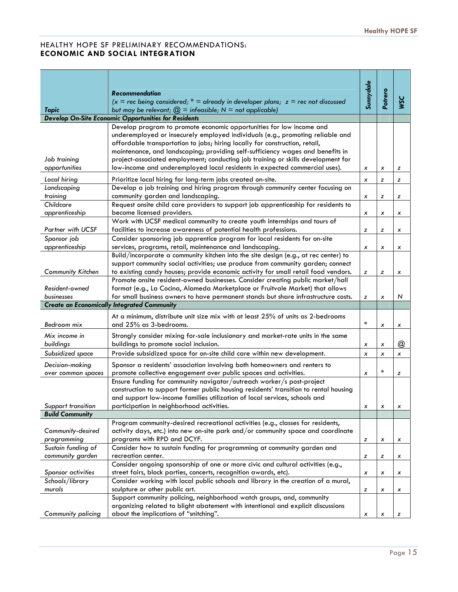#### HEALTHY HOPE SF PRELIMINARY RECOMMENDATIONS: **ECONOMIC AND SOCIAL INTEGRATION**

|                              |                                                                                                                                                                     | Sunnydale      |         |            |
|------------------------------|---------------------------------------------------------------------------------------------------------------------------------------------------------------------|----------------|---------|------------|
|                              | <b>Recommendation</b>                                                                                                                                               |                |         |            |
|                              | $(x = rec$ being considered; $* =$ already in developer plans; $z = rec$ not discussed                                                                              |                | Potrero | <b>USC</b> |
| <b>Topic</b>                 | but may be relevant; $\textcircled{2}$ = infeasible; N = not applicable)<br>Develop On-Site Economic Opportunities for Residents                                    |                |         |            |
|                              | Develop program to promote economic opportunities for low income and                                                                                                |                |         |            |
|                              | underemployed or insecurely employed individuals (e.g., promoting reliable and                                                                                      |                |         |            |
|                              | affordable transportation to jobs; hiring locally for construction, retail,                                                                                         |                |         |            |
|                              | maintenance, and landscaping; providing self-sufficiency wages and benefits in                                                                                      |                |         |            |
| Job training                 | project-associated employment; conducting job training or skills development for                                                                                    |                |         |            |
| opportunities                | low-income and underemployed local residents in expected commercial uses).                                                                                          | x              | x       | z          |
| Local hiring                 | Prioritize local hiring for long-term jobs created on-site.                                                                                                         | x              | z       | z          |
| Landscaping                  | Develop a job training and hiring program through community center focusing on                                                                                      |                |         |            |
| training                     | community garden and landscaping.                                                                                                                                   | x              | z       | z          |
| Childcare                    | Request onsite child care providers to support job apprenticeship for residents to                                                                                  |                |         |            |
| apprenticeship               | become licensed providers.                                                                                                                                          | x              | x       | х          |
|                              | Work with UCSF medical community to create youth internships and tours of                                                                                           |                |         |            |
| <b>Partner with UCSF</b>     | facilities to increase awareness of potential health professions.                                                                                                   | z              | z       | х          |
| Sponsor job                  | Consider sponsoring job apprentice program for local residents for on-site                                                                                          |                |         |            |
| apprenticeship               | services, programs, retail, maintenance and landscaping.                                                                                                            | x              | x       | x          |
|                              | Build/incorporate a community kitchen into the site design (e.g., at rec center) to                                                                                 |                |         |            |
|                              | support community social activities; use produce from community garden; connect                                                                                     |                |         |            |
| <b>Community Kitchen</b>     | to existing candy houses; provide economic activity for small retail food vendors.                                                                                  | z              | z       | x          |
|                              | Promote onsite resident-owned businesses. Consider creating public market/hall                                                                                      |                |         |            |
| Resident-owned<br>businesses | format (e.g., La Cocina, Alameda Marketplace or Fruitvale Market) that allows<br>for small business owners to have permanent stands but share infrastructure costs. | z              | x       | N          |
|                              | <b>Create an Economically Integrated Community</b>                                                                                                                  |                |         |            |
|                              |                                                                                                                                                                     |                |         |            |
|                              | At a minimum, distribute unit size mix with at least 25% of units as 2-bedrooms<br>and 25% as 3-bedrooms.                                                           | $\ast$         |         |            |
| Bedroom mix                  |                                                                                                                                                                     |                | x       | x          |
| Mix income in                | Strongly consider mixing for-sale inclusionary and market-rate units in the same                                                                                    |                |         |            |
| buildings                    | buildings to promote social inclusion.                                                                                                                              | x              | x       | @          |
| Subsidized space             | Provide subsidized space for on-site child care within new development.                                                                                             | $\pmb{\times}$ | x       | x          |
| Decision-making              | Sponsor a residents' association involving both homeowners and renters to                                                                                           |                |         |            |
| over common spaces           | promote collective engagement over public spaces and activities.                                                                                                    | x              | $\ast$  | z          |
|                              | Ensure funding for community navigator/outreach worker/s post-project                                                                                               |                |         |            |
|                              | construction to support former public housing residents' transition to rental housing<br>and support low-income families utilization of local services, schools and |                |         |            |
| Support transition           | participation in neighborhood activities.                                                                                                                           |                |         |            |
| <b>Build Community</b>       |                                                                                                                                                                     | х              | х       | х          |
|                              | Program community-desired recreational activities (e.g., classes for residents,                                                                                     |                |         |            |
| Community-desired            | activity days, etc.) into new on-site park and/or community space and coordinate                                                                                    |                |         |            |
| programming                  | programs with RPD and DCYF.                                                                                                                                         | z              | x       | x          |
| Sustain funding of           | Consider how to sustain funding for programming at community garden and                                                                                             |                |         |            |
| community garden             | recreation center.                                                                                                                                                  | z              | z       | x          |
|                              | Consider ongoing sponsorship of one or more civic and cultural activities (e.g.,                                                                                    |                |         |            |
| Sponsor activities           | street fairs, block parties, concerts, recognition awards, etc).                                                                                                    | x              | x       | x          |
| Schools/library              | Consider working with local public schools and library in the creation of a mural,                                                                                  |                |         |            |
| murals                       | sculpture or other public art.                                                                                                                                      | z              | x       | x          |
|                              | Support community policing, neighborhood watch groups, and, community                                                                                               |                |         |            |
| Community policing           | organizing related to blight abatement with intentional and explicit discussions                                                                                    |                |         |            |
|                              | about the implications of "snitching".                                                                                                                              | x              | х       | z          |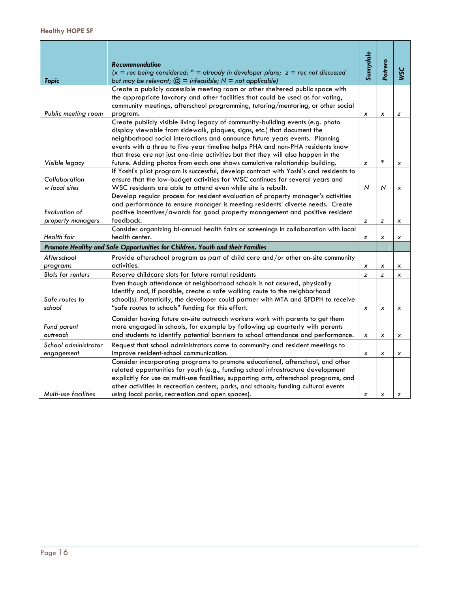|                                                                               | <b>Recommendation</b><br>$(x = rec$ being considered; * = already in developer plans; $z = rec$ not discussed                                                                                                                                                                                                                                                                                          | Sunnydale | Potrero      | <b>VSC</b> |
|-------------------------------------------------------------------------------|--------------------------------------------------------------------------------------------------------------------------------------------------------------------------------------------------------------------------------------------------------------------------------------------------------------------------------------------------------------------------------------------------------|-----------|--------------|------------|
| <b>Topic</b>                                                                  | but may be relevant; $\mathcal{Q}$ = infeasible; N = not applicable)                                                                                                                                                                                                                                                                                                                                   |           |              |            |
| Public meeting room                                                           | Create a publicly accessible meeting room or other sheltered public space with<br>the appropriate lavatory and other facilities that could be used as for voting,<br>community meetings, afterschool programming, tutoring/mentoring, or other social<br>program.                                                                                                                                      | x         | x            | z          |
|                                                                               | Create publicly visible living legacy of community-building events (e.g. photo<br>display viewable from sidewalk, plaques, signs, etc.) that document the<br>neighborhood social interactions and announce future years events. Planning<br>events with a three to five year timeline helps PHA and non-PHA residents know                                                                             |           |              |            |
|                                                                               | that these are not just one-time activities but that they will also happen in the                                                                                                                                                                                                                                                                                                                      |           |              |            |
| Visible legacy                                                                | future. Adding photos from each one shows cumulative relationship building.                                                                                                                                                                                                                                                                                                                            | z         | $\ast$       | x          |
| Collaboration<br>w local sites                                                | If Yoshi's pilot program is successful, develop contract with Yoshi's and residents to<br>ensure that the low-budget activities for WSC continues for several years and<br>WSC residents are able to attend even while site is rebuilt.                                                                                                                                                                | N         | N            | x          |
| Evaluation of                                                                 | Develop regular process for resident evaluation of property manager's activities<br>and performance to ensure manager is meeting residents' diverse needs. Create<br>positive incentives/awards for good property management and positive resident                                                                                                                                                     |           |              |            |
| property managers                                                             | feedback.                                                                                                                                                                                                                                                                                                                                                                                              | z         | z            | x          |
| Health fair                                                                   | Consider organizing bi-annual health fairs or screenings in collaboration with local<br>health center.                                                                                                                                                                                                                                                                                                 | z         | x            | x          |
| Promote Healthy and Safe Opportunities for Children, Youth and their Families |                                                                                                                                                                                                                                                                                                                                                                                                        |           |              |            |
| Afterschool                                                                   | Provide afterschool program as part of child care and/or other on-site community                                                                                                                                                                                                                                                                                                                       |           |              |            |
| programs                                                                      | activities.                                                                                                                                                                                                                                                                                                                                                                                            | x         | x            | x          |
| Slots for renters                                                             | Reserve childcare slots for future rental residents                                                                                                                                                                                                                                                                                                                                                    | z         | z            | x          |
| Safe routes to<br>school                                                      | Even though attendance at neighborhood schools is not assured, physically<br>identify and, if possible, create a safe walking route to the neighborhood<br>school(s). Potentially, the developer could partner with MTA and SFDPH to receive<br>"safe routes to schools" funding for this effort.                                                                                                      | x         | x            | x          |
| Fund parent<br>outreach                                                       | Consider having future on-site outreach workers work with parents to get them<br>more engaged in schools, for example by following up quarterly with parents<br>and students to identify potential barriers to school attendance and performance.                                                                                                                                                      | x         | x            | x          |
| School administrator<br>engagement                                            | Request that school administrators come to community and resident meetings to<br>improve resident-school communication.                                                                                                                                                                                                                                                                                | x         | x            | x          |
| <b>Multi-use facilities</b>                                                   | Consider incorporating programs to promote educational, afterschool, and other<br>related opportunities for youth (e.g., funding school infrastructure development<br>explicitly for use as multi-use facilities; supporting arts, afterschool programs, and<br>other activities in recreation centers, parks, and schools; funding cultural events<br>using local parks, recreation and open spaces). | z         | $\pmb{\chi}$ | z          |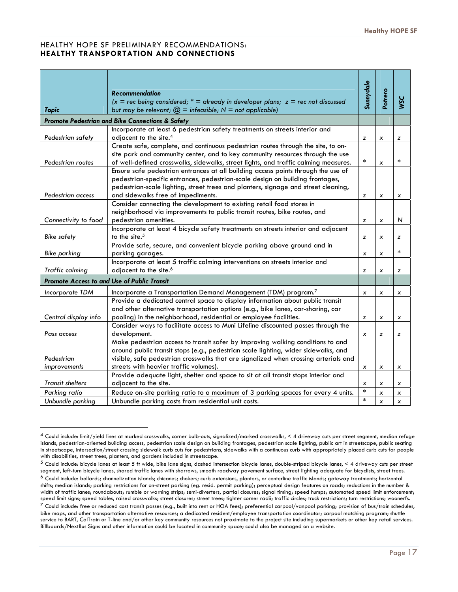#### HEALTHY HOPE SF PRELIMINARY RECOMMENDATIONS: **HEALTHY TRANSPORTATION AND CONNECTIONS**

| Sunnydale<br>Potrero<br>Recommendation<br><b>WSC</b><br>$(x = rec$ being considered; $* =$ already in developer plans; $z = rec$ not discussed<br><b>Topic</b><br>but may be relevant; $\mathcal{Q}$ = infeasible; N = not applicable)<br>Promote Pedestrian and Bike Connections & Safety<br>Incorporate at least 6 pedestrian safety treatments on streets interior and<br>Pedestrian safety<br>adjacent to the site. <sup>4</sup><br>z<br>x<br>z<br>Create safe, complete, and continuous pedestrian routes through the site, to on-<br>site park and community center, and to key community resources through the use<br>$\ast$<br>$\ast$<br>Pedestrian routes<br>of well-defined crosswalks, sidewalks, street lights, and traffic calming measures.<br>x<br>Ensure safe pedestrian entrances at all building access points through the use of<br>pedestrian-specific entrances, pedestrian-scale design on building frontages,<br>pedestrian-scale lighting, street trees and planters, signage and street cleaning,<br>and sidewalks free of impediments.<br>Pedestrian access<br>z<br>x<br>x |                                                                       |  |  |
|------------------------------------------------------------------------------------------------------------------------------------------------------------------------------------------------------------------------------------------------------------------------------------------------------------------------------------------------------------------------------------------------------------------------------------------------------------------------------------------------------------------------------------------------------------------------------------------------------------------------------------------------------------------------------------------------------------------------------------------------------------------------------------------------------------------------------------------------------------------------------------------------------------------------------------------------------------------------------------------------------------------------------------------------------------------------------------------------------|-----------------------------------------------------------------------|--|--|
|                                                                                                                                                                                                                                                                                                                                                                                                                                                                                                                                                                                                                                                                                                                                                                                                                                                                                                                                                                                                                                                                                                      |                                                                       |  |  |
|                                                                                                                                                                                                                                                                                                                                                                                                                                                                                                                                                                                                                                                                                                                                                                                                                                                                                                                                                                                                                                                                                                      |                                                                       |  |  |
|                                                                                                                                                                                                                                                                                                                                                                                                                                                                                                                                                                                                                                                                                                                                                                                                                                                                                                                                                                                                                                                                                                      |                                                                       |  |  |
|                                                                                                                                                                                                                                                                                                                                                                                                                                                                                                                                                                                                                                                                                                                                                                                                                                                                                                                                                                                                                                                                                                      |                                                                       |  |  |
|                                                                                                                                                                                                                                                                                                                                                                                                                                                                                                                                                                                                                                                                                                                                                                                                                                                                                                                                                                                                                                                                                                      |                                                                       |  |  |
|                                                                                                                                                                                                                                                                                                                                                                                                                                                                                                                                                                                                                                                                                                                                                                                                                                                                                                                                                                                                                                                                                                      |                                                                       |  |  |
|                                                                                                                                                                                                                                                                                                                                                                                                                                                                                                                                                                                                                                                                                                                                                                                                                                                                                                                                                                                                                                                                                                      |                                                                       |  |  |
|                                                                                                                                                                                                                                                                                                                                                                                                                                                                                                                                                                                                                                                                                                                                                                                                                                                                                                                                                                                                                                                                                                      |                                                                       |  |  |
|                                                                                                                                                                                                                                                                                                                                                                                                                                                                                                                                                                                                                                                                                                                                                                                                                                                                                                                                                                                                                                                                                                      |                                                                       |  |  |
|                                                                                                                                                                                                                                                                                                                                                                                                                                                                                                                                                                                                                                                                                                                                                                                                                                                                                                                                                                                                                                                                                                      |                                                                       |  |  |
|                                                                                                                                                                                                                                                                                                                                                                                                                                                                                                                                                                                                                                                                                                                                                                                                                                                                                                                                                                                                                                                                                                      |                                                                       |  |  |
|                                                                                                                                                                                                                                                                                                                                                                                                                                                                                                                                                                                                                                                                                                                                                                                                                                                                                                                                                                                                                                                                                                      |                                                                       |  |  |
|                                                                                                                                                                                                                                                                                                                                                                                                                                                                                                                                                                                                                                                                                                                                                                                                                                                                                                                                                                                                                                                                                                      | Consider connecting the development to existing retail food stores in |  |  |
| neighborhood via improvements to public transit routes, bike routes, and                                                                                                                                                                                                                                                                                                                                                                                                                                                                                                                                                                                                                                                                                                                                                                                                                                                                                                                                                                                                                             |                                                                       |  |  |
| Connectivity to food<br>pedestrian amenities.<br>N<br>z<br>x                                                                                                                                                                                                                                                                                                                                                                                                                                                                                                                                                                                                                                                                                                                                                                                                                                                                                                                                                                                                                                         |                                                                       |  |  |
| Incorporate at least 4 bicycle safety treatments on streets interior and adjacent<br>to the site. <sup>5</sup><br><b>Bike safety</b>                                                                                                                                                                                                                                                                                                                                                                                                                                                                                                                                                                                                                                                                                                                                                                                                                                                                                                                                                                 |                                                                       |  |  |
| z<br>z<br>x<br>Provide safe, secure, and convenient bicycle parking above ground and in                                                                                                                                                                                                                                                                                                                                                                                                                                                                                                                                                                                                                                                                                                                                                                                                                                                                                                                                                                                                              |                                                                       |  |  |
| $\ast$<br><b>Bike parking</b><br>parking garages.<br>x<br>x                                                                                                                                                                                                                                                                                                                                                                                                                                                                                                                                                                                                                                                                                                                                                                                                                                                                                                                                                                                                                                          |                                                                       |  |  |
| Incorporate at least 5 traffic calming interventions on streets interior and                                                                                                                                                                                                                                                                                                                                                                                                                                                                                                                                                                                                                                                                                                                                                                                                                                                                                                                                                                                                                         |                                                                       |  |  |
| adjacent to the site. <sup>6</sup><br>Traffic calming<br>z<br>z<br>x                                                                                                                                                                                                                                                                                                                                                                                                                                                                                                                                                                                                                                                                                                                                                                                                                                                                                                                                                                                                                                 |                                                                       |  |  |
| Promote Access to and Use of Public Transit                                                                                                                                                                                                                                                                                                                                                                                                                                                                                                                                                                                                                                                                                                                                                                                                                                                                                                                                                                                                                                                          |                                                                       |  |  |
| Incorporate a Transportation Demand Management (TDM) program.7<br>Incorporate TDM<br>x<br>x<br>x                                                                                                                                                                                                                                                                                                                                                                                                                                                                                                                                                                                                                                                                                                                                                                                                                                                                                                                                                                                                     |                                                                       |  |  |
| Provide a dedicated central space to display information about public transit                                                                                                                                                                                                                                                                                                                                                                                                                                                                                                                                                                                                                                                                                                                                                                                                                                                                                                                                                                                                                        |                                                                       |  |  |
| and other alternative transportation options (e.g., bike lanes, car-sharing, car                                                                                                                                                                                                                                                                                                                                                                                                                                                                                                                                                                                                                                                                                                                                                                                                                                                                                                                                                                                                                     |                                                                       |  |  |
| pooling) in the neighborhood, residential or employee facilities.<br>Central display info<br>z<br>x<br>x                                                                                                                                                                                                                                                                                                                                                                                                                                                                                                                                                                                                                                                                                                                                                                                                                                                                                                                                                                                             |                                                                       |  |  |
| Consider ways to facilitate access to Muni Lifeline discounted passes through the                                                                                                                                                                                                                                                                                                                                                                                                                                                                                                                                                                                                                                                                                                                                                                                                                                                                                                                                                                                                                    |                                                                       |  |  |
| development.<br>Pass access<br>z<br>x<br>z                                                                                                                                                                                                                                                                                                                                                                                                                                                                                                                                                                                                                                                                                                                                                                                                                                                                                                                                                                                                                                                           |                                                                       |  |  |
| Make pedestrian access to transit safer by improving walking conditions to and                                                                                                                                                                                                                                                                                                                                                                                                                                                                                                                                                                                                                                                                                                                                                                                                                                                                                                                                                                                                                       |                                                                       |  |  |
| around public transit stops (e.g., pedestrian scale lighting, wider sidewalks, and                                                                                                                                                                                                                                                                                                                                                                                                                                                                                                                                                                                                                                                                                                                                                                                                                                                                                                                                                                                                                   |                                                                       |  |  |
| Pedestrian<br>visible, safe pedestrian crosswalks that are signalized when crossing arterials and                                                                                                                                                                                                                                                                                                                                                                                                                                                                                                                                                                                                                                                                                                                                                                                                                                                                                                                                                                                                    |                                                                       |  |  |
| streets with heavier traffic volumes).<br>improvements<br>x<br>x<br>x<br>Provide adequate light, shelter and space to sit at all transit stops interior and                                                                                                                                                                                                                                                                                                                                                                                                                                                                                                                                                                                                                                                                                                                                                                                                                                                                                                                                          |                                                                       |  |  |
| <b>Transit shelters</b><br>adjacent to the site.                                                                                                                                                                                                                                                                                                                                                                                                                                                                                                                                                                                                                                                                                                                                                                                                                                                                                                                                                                                                                                                     |                                                                       |  |  |
| x<br>х<br>x<br>$\ast$<br>Reduce on-site parking ratio to a maximum of 3 parking spaces for every 4 units.<br>Parking ratio                                                                                                                                                                                                                                                                                                                                                                                                                                                                                                                                                                                                                                                                                                                                                                                                                                                                                                                                                                           |                                                                       |  |  |
| x<br>x<br>$\star$<br>Unbundle parking<br>Unbundle parking costs from residential unit costs.<br>$\boldsymbol{x}$<br>x                                                                                                                                                                                                                                                                                                                                                                                                                                                                                                                                                                                                                                                                                                                                                                                                                                                                                                                                                                                |                                                                       |  |  |

<sup>4</sup> Could include: limit/yield lines at marked crosswalks, corner bulb-outs, signalized/marked crosswalks, < 4 driveway cuts per street segment, median refuge islands, pedestrian-oriented building access, pedestrian scale design on building frontages, pedestrian scale lighting, public art in streetscape, public seating in streetscape, intersection/street crossing sidewalk curb cuts for pedestrians, sidewalks with a continuous curb with appropriately placed curb cuts for people with disabilities, street trees, planters, and gardens included in streetscape.

 $^5$  Could include: bicycle lanes at least 5 ft wide, bike lane signs, dashed intersection bicycle lanes, double-striped bicycle lanes,  $\leq$  4 driveway cuts per street segment, left-turn bicycle lanes, shared traffic lanes with sharrows, smooth roadway pavement surface, street lighting adequate for bicyclists, street trees. <sup>6</sup> Could include: bollards; channelization islands; chicanes; chokers; curb extensions, planters, or centerline traffic islands; gateway treatments; horizontal shifts; median islands; parking restrictions for on-street parking (eg. resid. permit parking); perceptual design features on roads; reductions in the number & width of traffic lanes; roundabouts; rumble or warning strips; semi-diverters, partial closures; signal timing; speed humps; automated speed limit enforcement; speed limit signs; speed tables, raised crosswalks; street closures; street trees; tighter corner radii; traffic circles; truck restrictions; turn restrictions; woonerfs.  $^7$  Could include: free or reduced cost transit passes (e.g., built into rent or HOA fees); preferential carpool/vanpool parking; provision of bus/train schedules, bike maps, and other transportation alternative resources; a dedicated resident/employee transportation coordinator; carpool matching program; shuttle service to BART, CalTrain or T-line and/or other key community resources not proximate to the project site including supermarkets or other key retail services. Billboards/NextBus Signs and other information could be located in community space; could also be managed on a website.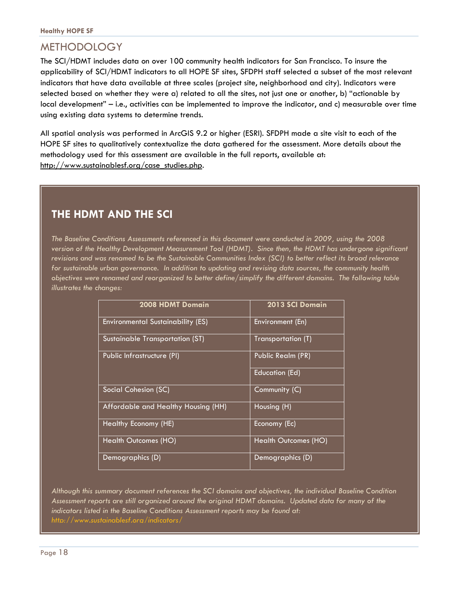## METHODOLOGY

The SCI/HDMT includes data on over 100 community health indicators for San Francisco. To insure the applicability of SCI/HDMT indicators to all HOPE SF sites, SFDPH staff selected a subset of the most relevant indicators that have data available at three scales (project site, neighborhood and city). Indicators were selected based on whether they were a) related to all the sites, not just one or another, b) "actionable by local development" – i.e., activities can be implemented to improve the indicator, and c) measurable over time using existing data systems to determine trends.

All spatial analysis was performed in ArcGIS 9.2 or higher (ESRI). SFDPH made a site visit to each of the HOPE SF sites to qualitatively contextualize the data gathered for the assessment. More details about the methodology used for this assessment are available in the full reports, available at: http://www.sustainablesf.org/case\_studies.php.

## **THE HDMT AND THE SCI**

*The Baseline Conditions Assessments referenced in this document were conducted in 2009, using the 2008 version of the Healthy Development Measurement Tool (HDMT). Since then, the HDMT has undergone significant revisions and was renamed to be the Sustainable Communities Index (SCI) to better reflect its broad relevance for sustainable urban governance. In addition to updating and revising data sources, the community health objectives were renamed and reorganized to better define/simplify the different domains. The following table illustrates the changes:* 

| 2008 HDMT Domain                         | 2013 SCI Domain       |
|------------------------------------------|-----------------------|
| <b>Environmental Sustainability (ES)</b> | Environment (En)      |
| Sustainable Transportation (ST)          | Transportation (T)    |
| Public Infrastructure (PI)               | Public Realm (PR)     |
|                                          | <b>Education (Ed)</b> |
| Social Cohesion (SC)                     | Community (C)         |
| Affordable and Healthy Housing (HH)      | Housing (H)           |
| Healthy Economy (HE)                     | Economy (Ec)          |
| Health Outcomes (HO)                     | Health Outcomes (HO)  |
| Demographics (D)                         | Demographics (D)      |

*Although this summary document references the SCI domains and objectives, the individual Baseline Condition Assessment reports are still organized around the original HDMT domains. Updated data for many of the indicators listed in the Baseline Conditions Assessment reports may be found at: http://www.sustainablesf.org/indicators/*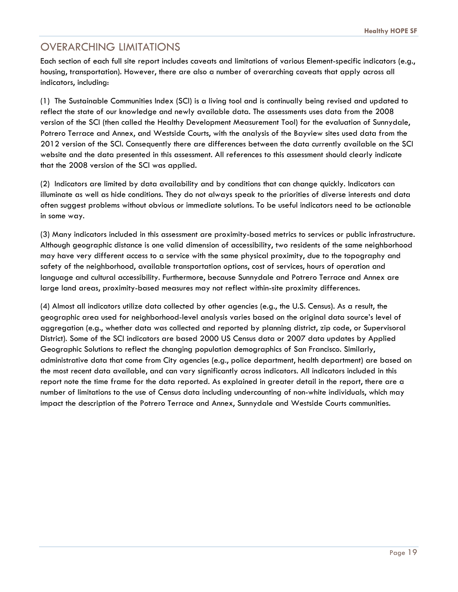## OVERARCHING LIMITATIONS

Each section of each full site report includes caveats and limitations of various Element-specific indicators (e.g., housing, transportation). However, there are also a number of overarching caveats that apply across all indicators, including:

(1) The Sustainable Communities Index (SCI) is a living tool and is continually being revised and updated to reflect the state of our knowledge and newly available data. The assessments uses data from the 2008 version of the SCI (then called the Healthy Development Measurement Tool) for the evaluation of Sunnydale, Potrero Terrace and Annex, and Westside Courts, with the analysis of the Bayview sites used data from the 2012 version of the SCI. Consequently there are differences between the data currently available on the SCI website and the data presented in this assessment. All references to this assessment should clearly indicate that the 2008 version of the SCI was applied.

(2) Indicators are limited by data availability and by conditions that can change quickly. Indicators can illuminate as well as hide conditions. They do not always speak to the priorities of diverse interests and data often suggest problems without obvious or immediate solutions. To be useful indicators need to be actionable in some way.

(3) Many indicators included in this assessment are proximity-based metrics to services or public infrastructure. Although geographic distance is one valid dimension of accessibility, two residents of the same neighborhood may have very different access to a service with the same physical proximity, due to the topography and safety of the neighborhood, available transportation options, cost of services, hours of operation and language and cultural accessibility. Furthermore, because Sunnydale and Potrero Terrace and Annex are large land areas, proximity-based measures may not reflect within-site proximity differences.

(4) Almost all indicators utilize data collected by other agencies (e.g., the U.S. Census). As a result, the geographic area used for neighborhood-level analysis varies based on the original data source's level of aggregation (e.g., whether data was collected and reported by planning district, zip code, or Supervisoral District). Some of the SCI indicators are based 2000 US Census data or 2007 data updates by Applied Geographic Solutions to reflect the changing population demographics of San Francisco. Similarly, administrative data that come from City agencies (e.g., police department, health department) are based on the most recent data available, and can vary significantly across indicators. All indicators included in this report note the time frame for the data reported. As explained in greater detail in the report, there are a number of limitations to the use of Census data including undercounting of non-white individuals, which may impact the description of the Potrero Terrace and Annex, Sunnydale and Westside Courts communities.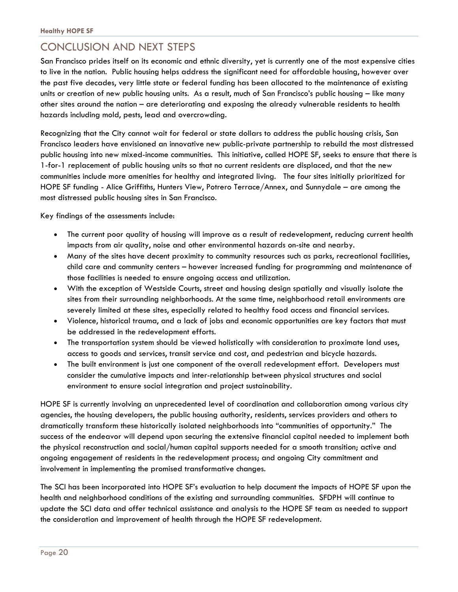## CONCLUSION AND NEXT STEPS

San Francisco prides itself on its economic and ethnic diversity, yet is currently one of the most expensive cities to live in the nation. Public housing helps address the significant need for affordable housing, however over the past five decades, very little state or federal funding has been allocated to the maintenance of existing units or creation of new public housing units. As a result, much of San Francisco's public housing – like many other sites around the nation – are deteriorating and exposing the already vulnerable residents to health hazards including mold, pests, lead and overcrowding.

Recognizing that the City cannot wait for federal or state dollars to address the public housing crisis, San Francisco leaders have envisioned an innovative new public-private partnership to rebuild the most distressed public housing into new mixed-income communities. This initiative, called HOPE SF, seeks to ensure that there is 1-for-1 replacement of public housing units so that no current residents are displaced, and that the new communities include more amenities for healthy and integrated living. The four sites initially prioritized for HOPE SF funding - Alice Griffiths, Hunters View, Potrero Terrace/Annex, and Sunnydale – are among the most distressed public housing sites in San Francisco.

Key findings of the assessments include:

- The current poor quality of housing will improve as a result of redevelopment, reducing current health impacts from air quality, noise and other environmental hazards on-site and nearby.
- Many of the sites have decent proximity to community resources such as parks, recreational facilities, child care and community centers – however increased funding for programming and maintenance of those facilities is needed to ensure ongoing access and utilization.
- With the exception of Westside Courts, street and housing design spatially and visually isolate the sites from their surrounding neighborhoods. At the same time, neighborhood retail environments are severely limited at these sites, especially related to healthy food access and financial services.
- Violence, historical trauma, and a lack of jobs and economic opportunities are key factors that must be addressed in the redevelopment efforts.
- The transportation system should be viewed holistically with consideration to proximate land uses, access to goods and services, transit service and cost, and pedestrian and bicycle hazards.
- The built environment is just one component of the overall redevelopment effort. Developers must consider the cumulative impacts and inter-relationship between physical structures and social environment to ensure social integration and project sustainability.

HOPE SF is currently involving an unprecedented level of coordination and collaboration among various city agencies, the housing developers, the public housing authority, residents, services providers and others to dramatically transform these historically isolated neighborhoods into "communities of opportunity." The success of the endeavor will depend upon securing the extensive financial capital needed to implement both the physical reconstruction and social/human capital supports needed for a smooth transition; active and ongoing engagement of residents in the redevelopment process; and ongoing City commitment and involvement in implementing the promised transformative changes.

The SCI has been incorporated into HOPE SF's evaluation to help document the impacts of HOPE SF upon the health and neighborhood conditions of the existing and surrounding communities. SFDPH will continue to update the SCI data and offer technical assistance and analysis to the HOPE SF team as needed to support the consideration and improvement of health through the HOPE SF redevelopment.